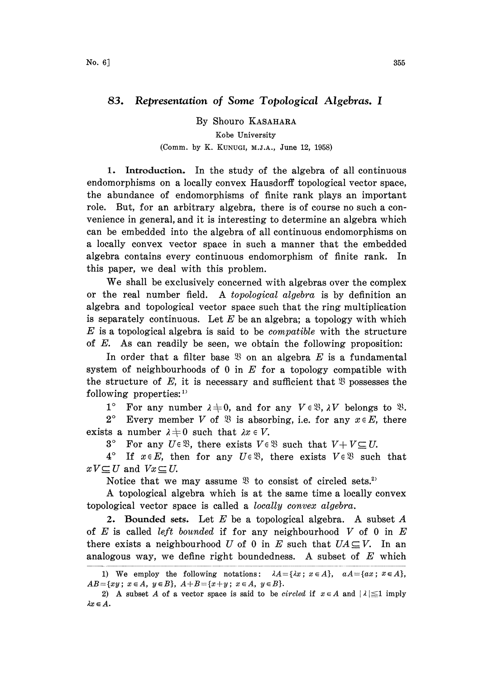## 83. Representation of Some Topological Algebras. <sup>I</sup>

By Shouro KASAHARA Kobe University (Comm. by K. KUNUGI, M.J.A., June 12, 1958)

1. Introduction. In the study of the algebra of all continuous endomorphisms on a locally convex Hausdorff topological vector space, the abundance of endomorphisms of finite rank plays an important role. But, for an arbitrary algebra, there is of course no such a convenience in general, and it is interesting to determine an algebra which can be embedded into the algebra of all continuous endomorphisms on a locally convex vector space in such a manner that the embedded algebra contains every continuous endomorphism of finite rank. In this paper, we deal with this problem.

We shall be exclusively concerned with algebras over the complex or the real number field. A topological algebra is by definition an algebra and topological vector space such that the ring multiplication is separately continuous. Let  $E$  be an algebra; a topology with which  $E$  is a topological algebra is said to be *compatible* with the structure of E. As can readily be seen, we obtain the following proposition:

In order that a filter base  $\mathfrak{B}$  on an algebra E is a fundamental system of neighbourhoods of  $0$  in  $E$  for a topology compatible with the structure of E, it is necessary and sufficient that  $\mathfrak{B}$  possesses the following properties:

1° For any number  $\lambda \neq 0$ , and for any  $V \in \mathcal{X}, \lambda V$  belongs to  $\mathcal{X}.$ 

2° Every member V of  $\mathfrak{B}$  is absorbing, i.e. for any  $x \in E$ , there exists a number  $\lambda \neq 0$  such that  $\lambda x \in V$ .<br>3° For any  $U \in \mathcal{X}$ , there exists  $V \in \mathcal{Y}$ .

3° For any  $U \in \mathcal{X}$ , there exists  $V \in \mathcal{X}$  such that  $V + V \subseteq U$ .<br>4° If  $x \in E$ , then for any  $U \in \mathcal{X}$ , there exists  $V \in \mathcal{X}$  such

If  $x \in E$ , then for any  $U \in \mathcal{X}$ , there exists  $V \in \mathcal{X}$  such that  $xV\subseteq U$  and  $Vx\subseteq U$ .

Notice that we may assume  $\mathfrak{B}$  to consist of circled sets.<sup>2)</sup>

A topological algebra which is at the same time <sup>a</sup> locally convex topological vector space is called a locally convex algebra.

2. Bounded sets. Let  $E$  be a topological algebra. A subset  $A$ of  $E$  is called left bounded if for any neighbourhood  $V$  of 0 in  $E$ there exists a neighbourhood U of 0 in E such that  $UA \subseteq V$ . In an analogous way, we define right boundedness. A subset of  $E$  which

<sup>1)</sup> We employ the following notations:  $\lambda A = \{\lambda x \,;\, x \in A\}, aA = \{ax \,;\, x \in A\},$  $AB = \{xy; x \in A, y \in B\}, A + B = \{x+y; x \in A, y \in B\}.$ 

<sup>2)</sup> A subset A of a vector space is said to be *circled* if  $x \in A$  and  $|\lambda| \leq 1$  imply  $\lambda x \in A.$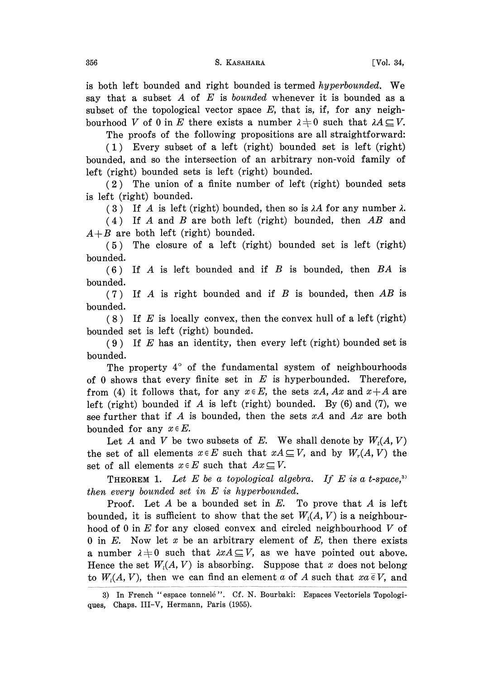356 S. KASAHARA [Vol. 34,

is both left bounded and right bounded is termed hyperbounded. We say that a subset  $A$  of  $E$  is *bounded* whenever it is bounded as a subset of the topological vector space  $E$ , that is, if, for any neighbourhood V of 0 in E there exists a number  $\lambda + 0$  such that  $\lambda A \subseteq V$ .

The proofs of the following propositions are all straightforward:

(1) Every subset of a left (right) bounded set is left (right) bounded, and so the intersection of an arbitrary non-void family of left (right) bounded sets is left (right) bounded.

(2) The union of a finite number of left (right) bounded sets is left (right) bounded.

(3) If A is left (right) bounded, then so is  $\lambda A$  for any number  $\lambda$ .

 $(4)$  If A and B are both left (right) bounded, then AB and  $A+B$  are both left (right) bounded.

(5) The closure of a left (right) bounded set is left (right) bounded.

 $(6)$  If A is left bounded and if B is bounded, then BA is bounded.

(7) If  $A$  is right bounded and if  $B$  is bounded, then  $AB$  is bounded.

 $(8)$  If E is locally convex, then the convex hull of a left (right) bounded set is left (right) bounded.

(9) If  $E$  has an identity, then every left (right) bounded set is bounded.

The property  $4^{\circ}$  of the fundamental system of neighbourhoods of 0 shows that every finite set in  $E$  is hyperbounded. Therefore, from (4) it follows that, for any  $x \in E$ , the sets xA, Ax and  $x+A$  are left (right) bounded if A is left (right) bounded. By  $(6)$  and  $(7)$ , we see further that if A is bounded, then the sets  $xA$  and  $Ax$  are both bounded for any  $x \in E$ .

Let A and V be two subsets of E. We shall denote by  $W_i(A, V)$ the set of all elements  $x \in E$  such that  $xA \subseteq V$ , and by  $W_r(A, V)$  the set of all elements  $x \in E$  such that  $Ax \subseteq V$ .

**THEOREM 1.** Let E be a topological algebra. If E is a t-space,<sup>3)</sup> then every bounded set in  $E$  is hyperbounded.

Proof. Let A be a bounded set in  $E$ . To prove that A is left bounded, it is sufficient to show that the set  $W<sub>i</sub>(A, V)$  is a neighbourhood of 0 in  $E$  for any closed convex and circled neighbourhood  $V$  of 0 in  $E$ . Now let  $x$  be an arbitrary element of  $E$ , then there exists a number  $\lambda \neq 0$  such that  $\lambda xA \subseteq V$ , as we have pointed out above. Hence the set  $W<sub>l</sub>(A, V)$  is absorbing. Suppose that x does not belong to  $W<sub>i</sub>(A, V)$ , then we can find an element a of A such that  $xa \in V$ , and

<sup>3)</sup> In French "espace tonnelé". Cf. N. Bourbaki: Espaces Vectoriels Topologiques, Chaps. III-V, Hermann, Paris (1955).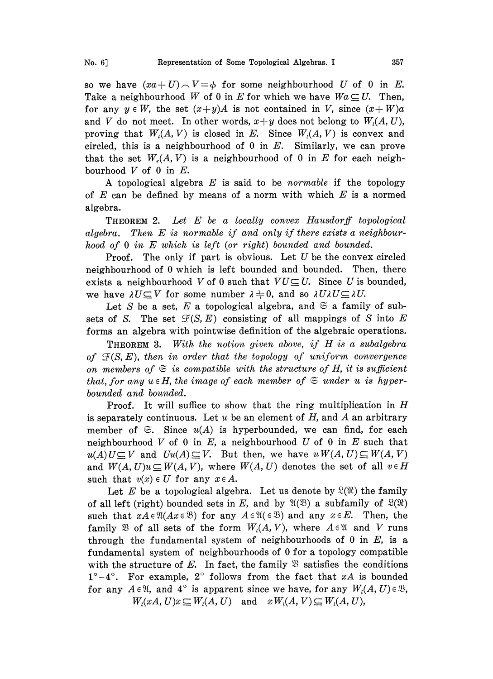so we have  $(xa+U) \wedge V = \phi$  for some neighbourhood U of 0 in E. Take a neighbourhood W of 0 in E for which we have  $Wa \subseteq U$ . Then, for any  $y \in W$ , the set  $(x+y)A$  is not contained in V, since  $(x+W)a$ and V do not meet. In other words,  $x+y$  does not belong to  $W<sub>i</sub>(A, U)$ , proving that  $W_i(A, V)$  is closed in E. Since  $W_i(A, V)$  is convex and circled, this is a neighbourhood of 0 in  $E$ . Similarly, we can prove that the set  $W<sub>r</sub>(A, V)$  is a neighbourhood of 0 in E for each neighbourhood  $V$  of 0 in  $E$ .

A topological algebra  $E$  is said to be *normable* if the topology of  $E$  can be defined by means of a norm with which  $E$  is a normed algebra.

THEOREM 2. Let E be a locally convex Hausdorff topological algebra. Then  $E$  is normable if and only if there exists a neighbourhood of 0 in E which is left (or right) bounded and bounded.

**Proof.** The only if part is obvious. Let  $U$  be the convex circled neighbourhood of 0 which is left bounded and bounded. Then, there exists a neighbourhood V of 0 such that  $VU\subseteq U$ . Since U is bounded, we have  $\lambda U \subseteq V$  for some number  $\lambda + 0$ , and so  $\lambda U \lambda U \subseteq \lambda U$ .

Let S be a set, E a topological algebra, and  $\mathfrak{S}$  a family of subsets of S. The set  $\mathcal{F}(S, E)$  consisting of all mappings of S into E forms an algebra with pointwise definition of the algebraic operations.

**THEOREM 3.** With the notion given above, if  $H$  is a subalgebra of  $\mathcal{F}(S, E)$ , then in order that the topology of uniform convergence on members of  $\mathfrak{S}$  is compatible with the structure of H, it is sufficient that, for any  $u \in H$ , the image of each member of  $\mathfrak{S}$  under u is hyperbounded and bounded.

Proof. It will suffice to show that the ring multiplication in H is separately continuous. Let  $u$  be an element of  $H$ , and  $A$  an arbitrary member of  $\mathfrak{S}$ . Since  $u(A)$  is hyperbounded, we can find, for each neighbourhood V of 0 in E, a neighbourhood U of 0 in E such that  $u(A) U \subseteq V$  and  $Uu(A) \subseteq V$ . But then, we have  $u W(A, U) \subseteq W(A, V)$ and  $W(A, U)u \subseteq W(A, V)$ , where  $W(A, U)$  denotes the set of all  $v \in H$ such that  $v(x) \in U$  for any  $x \in A$ .

Let E be a topological algebra. Let us denote by  $\mathfrak{L}(\mathfrak{N})$  the family of all left (right) bounded sets in E, and by  $\mathfrak{A}(\mathfrak{B})$  a subfamily of  $\mathfrak{L}(\mathfrak{R})$ such that  $xA \in \mathfrak{A}(Ax \in \mathfrak{B})$  for any  $A \in \mathfrak{A}(\in \mathfrak{B})$  and any  $x \in E$ . Then, the family  $\mathfrak{B}$  of all sets of the form  $W<sub>l</sub>(A, V)$ , where  $A \in \mathfrak{A}$  and V runs through the fundamental system of neighbourhoods of 0 in  $E$ , is a fundamental system of neighbourhoods of 0 for a topology compatible with the structure of E. In fact, the family  $\mathfrak B$  satisfies the conditions  $1^{\circ}-4^{\circ}$ . For example,  $2^{\circ}$  follows from the fact that xA is bounded for any  $A \in \mathfrak{A}$ , and  $4^\circ$  is apparent since we have, for any  $W_i(A, U) \in \mathfrak{B}$ ,  $W_i(xA, U)x \subseteq W_i(A, U)$  and  $x W_i(A, V) \subseteq W_i(A, U)$ ,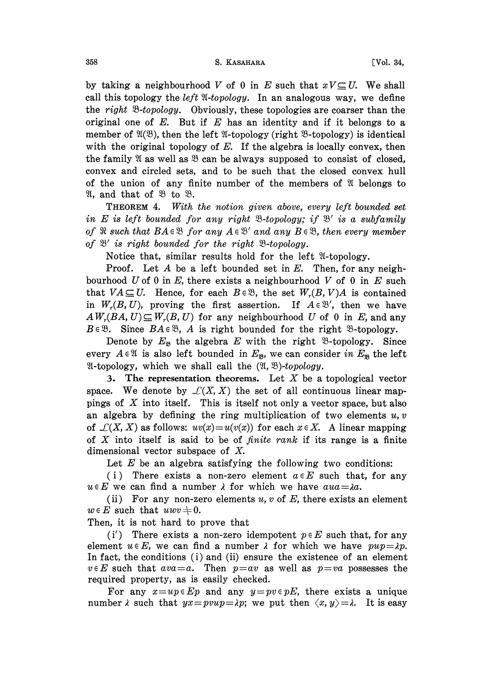by taking a neighbourhood V of 0 in E such that  $xV\subseteq U$ . We shall call this topology the *left*  $\mathfrak{A}\text{-}topology$ . In an analogous way, we define the right  $\mathcal{B}-topology$ . Obviously, these topologies are coarser than the original one of  $E$ . But if  $E$  has an identity and if it belongs to a member of  $\mathfrak{A}(\mathfrak{B})$ , then the left  $\mathfrak{A}$ -topology (right  $\mathfrak{B}$ -topology) is identical with the original topology of  $E$ . If the algebra is locally convex, then the family  $\mathfrak A$  as well as  $\mathfrak B$  can be always supposed to consist of closed, convex and circled sets, and to be such that the closed convex hull of the union of any finite number of the members of  $\mathfrak V$  belongs to  $\mathfrak{A}$ , and that of  $\mathfrak{B}$  to  $\mathfrak{B}$ .

THEOREM 4. With the notion given above, every left bounded set in E is left bounded for any right  $\mathcal{B}-topology$ ; if  $\mathcal{B}'$  is a subfamily of  $\Re$  such that  $BA \in \mathcal{B}$  for any  $A \in \mathcal{B}'$  and any  $B \in \mathcal{B}$ , then every member of  $\mathfrak{B}'$  is right bounded for the right  $\mathfrak{B}\text{-topology}.$ 

 $\sim$  is right countried for the right  $\sim$ -topology.<br>Notice that, similar results hold for the left  $\mathfrak{A}$ -topology.

Proof. Let  $A$  be a left bounded set in  $E$ . Then, for any neighbourhood U of 0 in E, there exists a neighbourhood V of 0 in E such that  $VA \subseteq U$ . Hence, for each  $B \in \mathcal{B}$ , the set  $W_r(B, V)A$  is contained in  $W_r(B, U)$ , proving the first assertion. If  $A \in \mathcal{B}'$ , then we have  $AW_r(BA, U) \subseteq W_r(B, U)$  for any neighbourhood U of 0 in E, and any  $B \in \mathcal{B}$ . Since  $BA \in \mathcal{B}$ , A is right bounded for the right  $\mathcal{B}\text{-topology}$ .

Denote by  $E_{\mathfrak{B}}$  the algebra E with the right  $\mathfrak{B}\text{-topology.}$  Since every  $A \in \mathcal{X}$  is also left bounded in  $E_{\mathcal{B}}$ , we can consider in  $E_{\mathcal{B}}$  the left  $\mathfrak{A}\text{-topology}$ , which we shall call the  $(\mathfrak{A}, \mathfrak{B})\text{-}topology$ .

3. The representation theorems. Let  $X$  be a topological vector space. We denote by  $\mathcal{L}(X, X)$  the set of all continuous linear mappings of  $X$  into itself. This is itself not only a vector space, but also an algebra by defining the ring multiplication of two elements  $u, v$ of  $\mathcal{L}(X, X)$  as follows:  $uv(x)=u(v(x))$  for each  $x \in X$ . A linear mapping of  $X$  into itself is said to be of *finite rank* if its range is a finite dimensional vector subspace of X.

Let  $E$  be an algebra satisfying the following two conditions:

(i) There exists a non-zero element  $a \in E$  such that, for any  $u \in E$  we can find a number  $\lambda$  for which we have  $au\alpha = \lambda a$ .

(ii) For any non-zero elements  $u, v$  of  $E$ , there exists an element  $w \in E$  such that  $uvw + 0$ .

Then, it is not hard to prove that

(i') There exists a non-zero idempotent  $p \in E$  such that, for any element  $u \in E$ , we can find a number  $\lambda$  for which we have  $pup = \lambda p$ . In fact, the conditions  $(i)$  and  $(ii)$  ensure the existence of an element  $v \in E$  such that  $ava = a$ . Then  $p = av$  as well as  $p = va$  possesses the required property, as is easily checked.

For any  $x=up\in Ep$  and any  $y=pv\in pE$ , there exists a unique number  $\lambda$  such that  $yx = pvwp = \lambda p$ ; we put then  $\langle x, y \rangle = \lambda$ . It is easy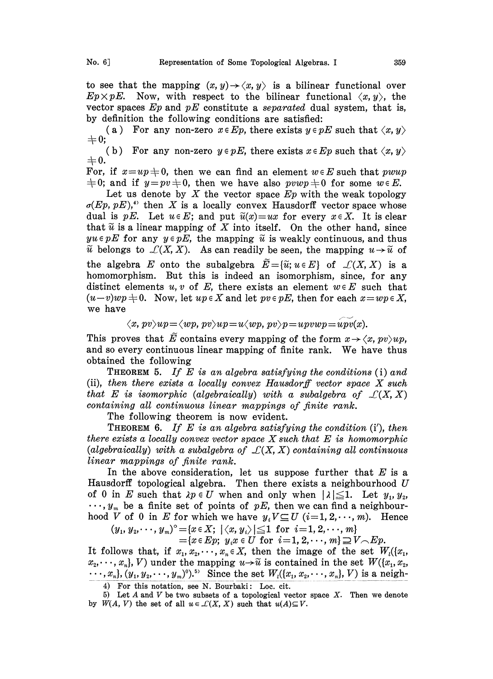to see that the mapping  $(x, y) \rightarrow \langle x, y \rangle$  is a bilinear functional over  $Ep \times pE$ . Now, with respect to the bilinear functional  $\langle x, y \rangle$ , the vector spaces  $Ep$  and  $pE$  constitute a separated dual system, that is, by definition the following conditions are satisfied:

(a) For any non-zero  $x \in E_p$ , there exists  $y \in pE$  such that  $\langle x, y \rangle$  $\pm 0;$ 

(b) For any non-zero  $y \in pE$ , there exists  $x \in Ep$  such that  $\langle x, y \rangle$  $+0.$ 

For, if  $x=up+0$ , then we can find an element  $w \in E$  such that pwup  $\pm 0$ ; and if  $y=pv\pm 0$ , then we have also  $pvwp\pm 0$  for some  $w \in E$ .

Let us denote by  $X$  the vector space  $Ep$  with the weak topology  $\sigma(Ep, pE)$ ,<sup>4)</sup> then X is a locally convex Hausdorff vector space whose dual is pE. Let  $u \in E$ ; and put  $\tilde{u}(x)=ux$  for every  $x \in X$ . It is clear that  $\tilde{u}$  is a linear mapping of X into itself. On the other hand, since  $yu \in pE$  for any  $y \in pE$ , the mapping  $\tilde{u}$  is weakly continuous, and thus  $\tilde{u}$  belongs to  $\mathcal{L}(X, X)$ . As can readily be seen, the mapping  $u \rightarrow \tilde{u}$  of the algebra E onto the subalgebra  $\widetilde{E} = {\widetilde{u}}; u \in E$  of  $\mathcal{L}(X, X)$  is a homomorphism. But this is indeed an isomorphism, since, for any distinct elements u, v of E, there exists an element  $w \in E$  such that  $(u-v)wp \neq 0$ . Now, let  $up \in X$  and let  $pv \in pE$ , then for each  $x=wp \in X$ , we have

$$
\langle x, \, pv \rangle up \! = \! \langle wp, \, pv \rangle up \! = \! u \langle wp, \, pv \rangle p \! = \! upvwp \! = \! upv(x).
$$

This proves that  $\tilde{E}$  contains every mapping of the form  $x \to \langle x, pv \rangle up$ , and so every continuous linear mapping of finite rank. We have thus obtained the following

**THEOREM 5.** If E is an algebra satisfying the conditions  $(i)$  and (ii), then there exists a locally convex Hausdorff vector space  $X$  such that E is isomorphic (algebraically) with a subalgebra of  $\mathcal{L}(X, X)$ containing all continuous linear mappings of finite rank.

The following theorem is now evident.

**THEOREM** 6. If E is an algebra satisfying the condition  $(i')$ , then there exists a locally convex vector space  $X$  such that  $E$  is homomorphic (algebraically) with a subalgebra of  $\mathcal{L}(X, X)$  containing all continuous linear mappings of finite rank.

In the above consideration, let us suppose further that  $E$  is a Hausdorff topological algebra. Then there exists a neighbourhood  $U$ of 0 in E such that  $\lambda p \in U$  when and only when  $|\lambda| \leq 1$ . Let  $y_1, y_2$ ,  $\cdots$ ,  $y_m$  be a finite set of points of pE, then we can find a neighbourhood V of 0 in E for which we have  $y_iV\subseteq U$   $(i=1, 2, \dots, m)$ . Hence

 $(y_1, y_2, \dots, y_m)^\circ = \{x \in X; \ |\langle x, y_i \rangle| \leq 1 \ \text{ for } i = 1, 2, \dots, m\} \ = \{x \in Ep; \ y_i x \in U \ \text{ for } \ i = 1, 2, \dots, m\} \supseteq V$ 

 ${x \in E_p; y_ix \in U \text{ for } i=1, 2, \dots, m} \supseteq V \supseteq E_p.$ 

It follows that, if  $x_1, x_2, \dots, x_n \in X$ , then the image of the set  $W_1(\lbrace x_1, x_2, \ldots, x_n \rbrace)$  $x_2,\dots, x_n$ , V) under the mapping  $u\rightarrow \widetilde{u}$  is contained in the set  $W(\lbrace x_1, x_2, \rbrace)$  $\cdots$ ,  $x_n$ ,  $(y_1, y_2, \dots, y_m)^0$ .<sup>5)</sup> Since the set  $W_1((x_1, x_2, \dots, x_n), V)$  is a neigh-

4) For this notation, see N. Bourbaki: Loc. cit.

<sup>5)</sup> Let  $A$  and  $V$  be two subsets of a topological vector space  $X$ . Then we denote by  $W(A, V)$  the set of all  $u \in \mathcal{L}(X, X)$  such that  $u(A) \subseteq V$ .